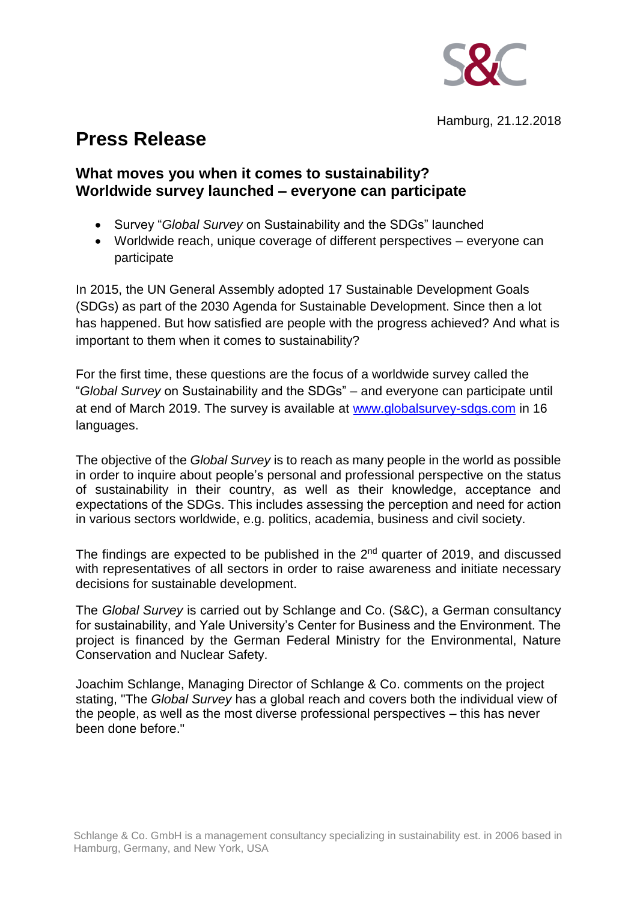

## **Press Release**

## **What moves you when it comes to sustainability? Worldwide survey launched – everyone can participate**

- Survey "*Global Survey* on Sustainability and the SDGs" launched
- Worldwide reach, unique coverage of different perspectives everyone can participate

In 2015, the UN General Assembly adopted 17 Sustainable Development Goals (SDGs) as part of the 2030 Agenda for Sustainable Development. Since then a lot has happened. But how satisfied are people with the progress achieved? And what is important to them when it comes to sustainability?

For the first time, these questions are the focus of a worldwide survey called the "*Global Survey* on Sustainability and the SDGs" – and everyone can participate until at end of March 2019. The survey is available at [www.globalsurvey-sdgs.com](http://www.globalsurvey-sdgs.com/) in 16 languages.

The objective of the *Global Survey* is to reach as many people in the world as possible in order to inquire about people's personal and professional perspective on the status of sustainability in their country, as well as their knowledge, acceptance and expectations of the SDGs. This includes assessing the perception and need for action in various sectors worldwide, e.g. politics, academia, business and civil society.

The findings are expected to be published in the  $2<sup>nd</sup>$  quarter of 2019, and discussed with representatives of all sectors in order to raise awareness and initiate necessary decisions for sustainable development.

The *Global Survey* is carried out by Schlange and Co. (S&C), a German consultancy for sustainability, and Yale University's Center for Business and the Environment. The project is financed by the German Federal Ministry for the Environmental, Nature Conservation and Nuclear Safety.

Joachim Schlange, Managing Director of Schlange & Co. comments on the project stating, "The *Global Survey* has a global reach and covers both the individual view of the people, as well as the most diverse professional perspectives – this has never been done before."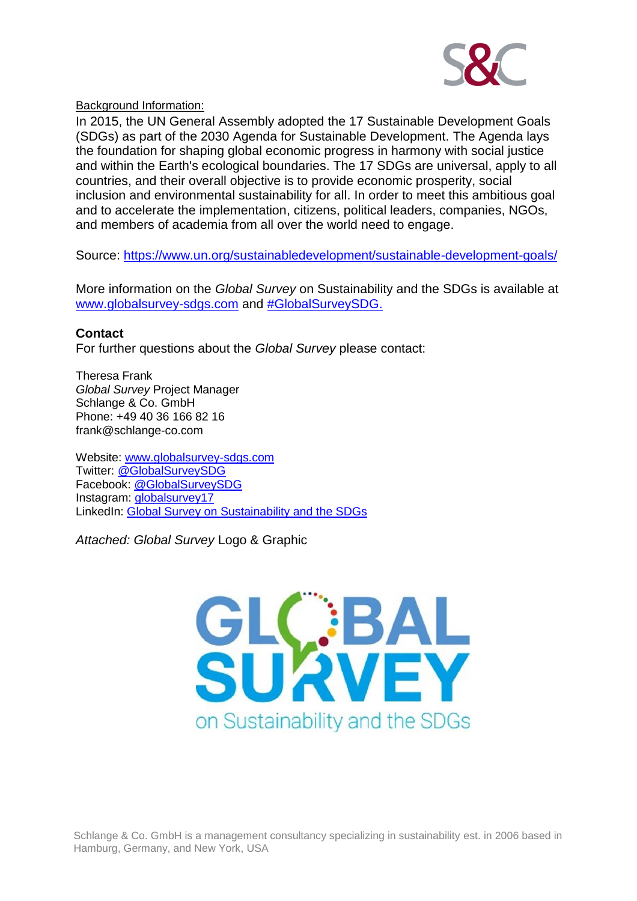

Background Information:

In 2015, the UN General Assembly adopted the 17 Sustainable Development Goals (SDGs) as part of the 2030 Agenda for Sustainable Development. The Agenda lays the foundation for shaping global economic progress in harmony with social justice and within the Earth's ecological boundaries. The 17 SDGs are universal, apply to all countries, and their overall objective is to provide economic prosperity, social inclusion and environmental sustainability for all. In order to meet this ambitious goal and to accelerate the implementation, citizens, political leaders, companies, NGOs, and members of academia from all over the world need to engage.

Source:<https://www.un.org/sustainabledevelopment/sustainable-development-goals/>

More information on the *Global Survey* on Sustainability and the SDGs is available at [www.globalsurvey-sdgs.com](http://www.globalsurvey-sdgs.com/) and [#GlobalSurveySDG.](https://twitter.com/search?q=%23globalsurveysdgs&src=typd)

## **Contact**

For further questions about the *Global Survey* please contact:

Theresa Frank *Global Survey* Project Manager Schlange & Co. GmbH Phone: +49 40 36 166 82 16 frank@schlange-co.com

Website: [www.globalsurvey-sdgs.com](http://www.globalsurvey-sdgs.com/) Twitter: [@GlobalSurveySDG](https://twitter.com/GlobalSurveySDG) Facebook: [@GlobalSurveySDG](https://www.facebook.com/GlobalSurveySDG/) Instagram: [globalsurvey17](https://www.instagram.com/globalsurvey17/) LinkedIn: [Global Survey on Sustainability and the SDGs](https://www.linkedin.com/company/global-survey-sdgs/)

*Attached: Global Survey* Logo & Graphic